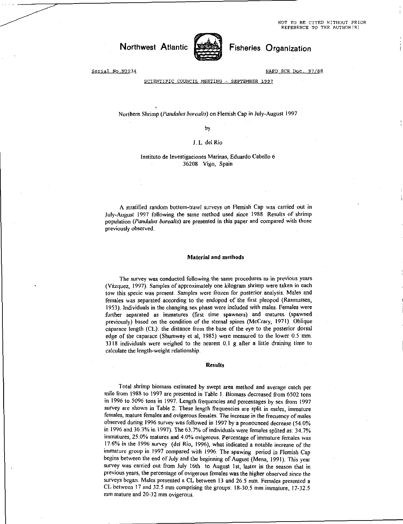NOT TO BE CITED WITHOUT PRIOR REFERENCE TO THE AUTHOR(S)

# Northwest Atlantic



Fisheries Organization

Serial No.N2934

NAFO SCR Doc. 97/88

SCIENTIFIC COUNCIL MEETING - SEPTEMBER 1997

## Northern Shrimp *(Pandalus borealis)* on Flemish Cap in July-August 1997

by

## J. L. del Rio

### Institute de Investigaciones Marinas, Eduardo Cabello 6 36208 Vigo, Spain

A stratified random bottom-trawl surveys on Flemish Cap was carried out in July-August 1997 following the same method used since 1988. Results of shrimp population *(Pandalus borealis)* are presented in this paper and compared with those previously observed.

#### Material and methods

The survey was conducted following the same procedures as in previous years (Vazquez, 1997). Samples of approximately one kilogram shrimp were taken in each tow this specie was present. Samples were frozen for posterior analysis. Males and females was separated according to the endopod of the first pleopod (Rasmussen, 1953). Individuals in the changing sex phase were included with males. Females were further separated as immatures (first time spawners) and matures (spawned previously) based on the condition of the sternal spines (McCrary, 1971). Oblique caparace length (CL): the distance from the base of the eye to the posterior dorsal edge of the caparace (Shumway et al, 1985) were measured to the lower 0.5 mm. 3318 individuals were weighed to the nearest 0.1 g after a little draining time to calculate the length-weight relationship.

#### Results

Total shrimp biomass estimated by swept area method and average catch per mile from 1988 to 1997 are presented in Table I. Biomass decreased from 6502 tons in 1996 to 5096 tons in 1997. Length frequencies and percentages by sex from 1997 survey are shown in Table 2. These length frequencies are split in males, immature females, mature females and ovigerous females. The increase in the frecuency of males observed during 1996 survey was followed in 1997 by a pronounced decrease (54.0% in 1996 and 36.3% in 1997). The 63.7% of individuals were females splited as: 34.7% immatures, 25.0% matures and 4.0% ovigerous. Percentage of immature females was 17.6% in the 1996 survey (del Rio, 1996), what indicated a notable increase of the immature group in 1997 compared with 1996. The spawing period in Flemish Cap begins between the end of July and the beginning of August (Mena, 1991). This year survey was carried out from July 16th to August 1st, laster in the season that in previous years, the percentage of ovigerous females was the higher observed since the surveys began. Males presented a CL between 13 and 26.5 mm. Females presented a CL between 17 and 32.5 mm comprising the groups: 18-30.5 mm immature, 17-32.5 mm mature and 20-32 mm ovigerous.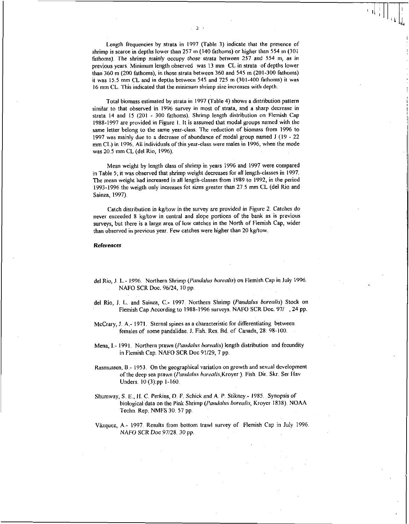Length frequencies by strata in 1997 (Table 3) indicate that the presence of shrimp is scarce in depths lower than 257 m (140 fathoms) or higher than 554 m (301 fathoms). The shrimp mainly occupy those strata *between* 257 and 554 m, as *in*  previous years. Minimum length observed was 13 mm CL in strata of depths lower than 360 m (200 fathoms), in those strata between 360 and 545 m (201-300 fathoms) it was 15.5 mm CL and in depths between 545 and 725 m (301-400 fathoms) it was 16 mm CL. This indicated that the minimum shrimp size increases with depth.

Total biomass estimated by strata in 1997 (Table 4) shows a distribution pattern similar to that observed in 1996 survey in most of strata, and a sharp decrease in strata 14 and 15 (201 - 300 fathoms). Shrimp length distribution on Flemish Cap 1988-1997 are provided in Figure 1. It is assumed that modal groups named with the same letter belong to the same year-class. The reduction of biomass from 1996 to 1997 was mainly due to a decrease of abundance of modal group named 1 (19 - 22 mm CL) in 1996. All individuals of this year-class were males in 1996, when the mode was 20.5 mm CL (del Rio, 1996).

Mean weight by length class of shrimp in years 1996 and 1997 were compared in Table 5; it was observed that shrimp weight decreases for all length-classes in 1997. The mean weight had increased in all length-classes from 1989 to 1992, in the period 1993-1996 the weigth only increases fot sizes greater than 27.5 mm CL (del Rio and Sainza, 1997).

Catch distribution in kg/tow in the survey are provided in Figure 2. Catches do never exceeded 8 kg/tow in central and slope portions of the bank as is previous surveys, but there is a large area of low catches in the North of Flemish Cap, wider than observed in previous year. Few catches were higher than 20 kg/tow.

#### References

- del Rio, J. L.- 1996. Northern Shrimp *(Panda/us borealis)* on Flemish Cap in July 1996. NAFO SCR Doc. 96/24, 10 pp.
- del Rio, 1. L. and Sainza, C.- 1997. Northern Shrimp *(Panda/us borealis)* Stock on Flemish Cap According to 1988-1996 surveys. NAFO SCR Doc. 97/ , 24 pp.
- McCrary, J. A.- 1971. Sternal spines as a characteristic for differentiating between females of some pandalidae. 1. Fish. Res. Bd. of Canada, 28: 98-100.
- Mena, I.- 1991. Northern prawn *(Panda/us borealis)* length distribution and fecundity in Flemish Cap. NAFO SCR Doc 91/29, 7 pp.
- Rasmussen, B.- 1953. On the geographical variation on growth and sexual development of the deep sea prawn *(Panda/us borealis,Kroyer).* Fish. Dir. Skr. Ser Hav Unders. 10 (3):pp 1-160.
- Shumway, S. E., H. C. Perkins, D. F. Schick and A. P. Stikney.- 1985. *Synopsis of*  biological data on the Pink Shrimp *(Pandalus borealis,* Kroyer 1838). NOAA Techn. Rep. NMFS 30. 57 pp.
- Vázquez, A.- 1997. Results from bottom trawl survey of Flemish Cap in July 1996. NAFO SCR Doc 97/28. 30 *pp.*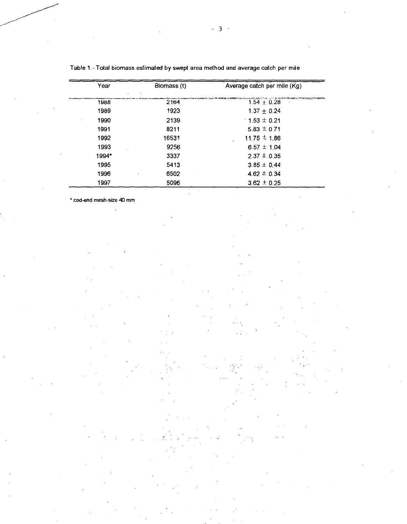| Year  | Biomass (t) | Average catch per mile (Kg)                                                                   |
|-------|-------------|-----------------------------------------------------------------------------------------------|
| 1988  | 2164        | a material and any complete statement of the complete material.<br>$1.54 + 0.28$<br>$\lambda$ |
| 1989  | 1923        | $1.37 + 0.24$                                                                                 |
| 1990  | 2139        | $1.53 \pm 0.21$                                                                               |
| 1991  | 8211        | $5.83 \pm 0.71$                                                                               |
| 1992  | 16531       | 11.75 $\pm$ 1.86                                                                              |
| 1993  | 9256        | $6.57 \pm 1.04$                                                                               |
| 1994* | 3337        | $2.37 \pm 0.35$                                                                               |
| 1995  | 5413        | $3.85 \pm 0.44$                                                                               |
| 1996  | 6502        | $4.62 \pm 0.34$                                                                               |
| 1997  | 5096        | $3.62 \pm 0.25$                                                                               |

 $\ddot{z}$ 

Table 1.- Total biomass estimated by swept area method and average catch per mile

cod-end mesh-size 40 mm

 $\ddot{\phantom{a}}$ 

- 3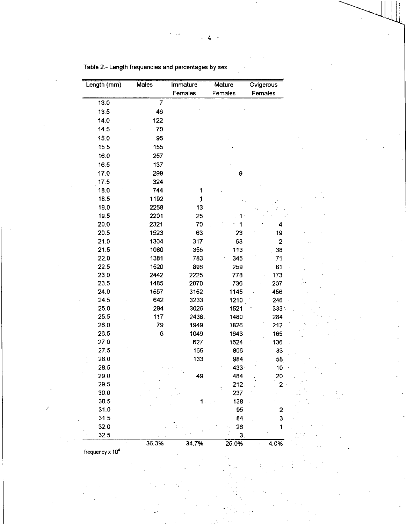| Length (mm) | <b>Males</b> | Immature | <b>Mature</b> | Ovigerous      |  |  |
|-------------|--------------|----------|---------------|----------------|--|--|
|             |              | Females  | Females       | Females        |  |  |
| 13.0        | 7            |          |               |                |  |  |
| 13.5        | 46           |          |               |                |  |  |
| 14.0        | 122          |          |               |                |  |  |
| 14.5        | 70           |          |               |                |  |  |
| 15.0        | 95           |          |               |                |  |  |
| 15.5        | 155          |          |               |                |  |  |
| 16.0        | 257          |          |               |                |  |  |
| 16.5        | 137          |          |               |                |  |  |
| 17.0        | 299          |          | 9             |                |  |  |
| 17.5        | 324          |          |               |                |  |  |
| 18.0        | 744          | 1        |               |                |  |  |
| 18.5        | 1192         | 1        |               |                |  |  |
| 19.0        | 2258         | 13       |               |                |  |  |
| 19.5        | 2201         | 25       | 1 :           |                |  |  |
| 20.0        | 2321         | 70       | 1             | 4              |  |  |
| 20.5        | 1523         | 63       | 23            | 19             |  |  |
| 21.0        | 1304         | 317      | 63            | $\overline{2}$ |  |  |
| 21.5        | 1080         | 355      | 113           | 38             |  |  |
| 22.0        | 1381         | 783      | 345           | 71             |  |  |
| 22.5        | 1520         | 896      | 259           | 81             |  |  |
| 23.0        | 2442         | 2225     | 778           | 173            |  |  |
| 23.5        | 1485         | 2070     | 736           | 237            |  |  |
| 24.0        | 1557         | 3152     | 1145          | 456            |  |  |
| 245         | 642          | 3233     | 1210          | 246            |  |  |
| 25.0        | 294          | 3026     | 1521          | $333 -$        |  |  |
| 25.5        | 117          | 2438.    | 1480          | 284            |  |  |
| 26.0        | 79           | 1949     | 1826          | 212            |  |  |
| 26.5        | 6            | 1049     | 1643          | 165            |  |  |
| 27.0        |              | 627      | 1624          | 136            |  |  |
| 27.5        |              | 165      | 806           | 33             |  |  |
| 28.0        |              | 133      | 984           | 58             |  |  |
| 28.5        |              |          | 433           | 10             |  |  |
| 29.0        |              | 40       | 484           | 20             |  |  |
| 29.5        |              |          | 212.          | 2              |  |  |
| 30.0        |              |          | 237           |                |  |  |
| 30.5        |              |          | 138           |                |  |  |
| 31.0        |              |          | 95            | 2              |  |  |
| 31.5        |              |          | 84            | 3              |  |  |
| 32.0        |              |          | 26            | 1              |  |  |
| 32.5        | 36.3%        | 34.7%    | 3<br>25.0%    | 4.0%           |  |  |

Table 2.- Length frequencies and percentages by sex

frequency x 10<sup>4</sup>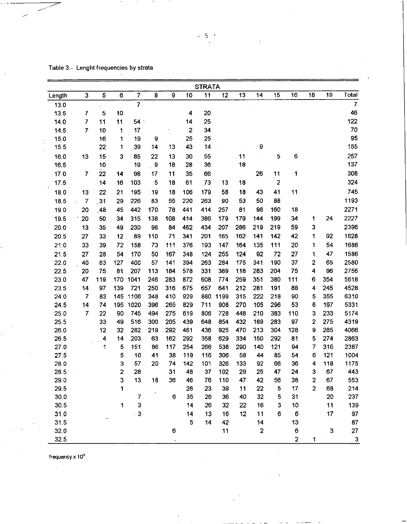| <b>STRATA</b> |                                                |     |     |                |                          |     |                         |     |      |     |                |                         |                |                |     |                |
|---------------|------------------------------------------------|-----|-----|----------------|--------------------------|-----|-------------------------|-----|------|-----|----------------|-------------------------|----------------|----------------|-----|----------------|
| Length        | 3                                              | 5   | 6   | $\overline{7}$ | 8                        | 9   | 10                      | 11  | 12   | 13  | 14             | 15                      | 16             | 18             | 19  | Total          |
| 13.0          |                                                |     |     | $\overline{7}$ |                          |     |                         |     |      |     |                |                         |                |                |     | $\overline{7}$ |
| 13.5          | 7                                              | 5   | 10  |                |                          |     | 4                       | 20  |      |     |                |                         |                |                |     | 46             |
| 14.0          | 7                                              | 11  | 11  | 54             |                          |     | 14                      | 25  |      |     |                |                         |                |                |     | 122            |
| 14.5          | $\overline{7}$                                 | 10  | 1   | 17             |                          |     | $\overline{\mathbf{2}}$ | 34  |      |     |                |                         |                |                |     | 70             |
| 15.0          |                                                | 16  | 1   | 19             | 9                        |     | 25                      | 25  |      |     |                |                         |                |                |     | 95             |
| 15.5          |                                                | 22  | 1   | 39             | 14                       | 13  | 43                      | 14  |      |     | 9              |                         |                |                |     | 155            |
| 16.0          | 13                                             | 15  | 3   | 85             | 22                       | 13  | 30                      | 55  |      | 11  |                | 5                       | 6              |                |     | 257            |
| 16.5          |                                                | 10  |     | 19             | $\overline{\phantom{a}}$ | 18  | 28                      | 36  |      | 18  |                |                         |                |                |     | 137            |
| 17.0          | $\overline{7}$                                 | 22  | 14  | 98             | 17                       | 11  | 35                      | 66  |      |     | 26             | 11                      | 1              |                |     | 308            |
| 17.5          |                                                | 14  | 16  | 103            | 5                        | 18  | 61                      | 73  | 13   | 18  |                | $\overline{\mathbf{c}}$ |                |                |     | 324            |
| 18.0          | 13                                             | 22  | 21  | 195            | 19                       | 18  | 106                     | 179 | 58   | 18  | 43             | 41                      | 11             |                |     | 745            |
| 18.5          | $\overline{7}$<br>$\mathcal{V}_{\mathbf{a}}$ . | 31  | 29  | 226            | 83                       | 55  | 220                     | 263 | 90   | 53  | 50             | 88                      |                |                |     | 1193           |
| 19.0          | 20                                             | .48 | 45  | 442            | 170                      | 78  | 441                     | 414 | 257  | 81  | 98             | 160                     | 18             |                |     | 2271           |
| 19.5          | 20                                             | 50  | 34  | 315            | 138                      | 108 | 414                     | 386 | 179  | 179 | 144            | 199                     | 34             | 1              | 24  | 2227           |
| 20.0          | 13                                             | 35  | 49  | 230            | 96                       | 84  | 462                     | 434 | 207  | 286 | 219            | 219                     | 59             | 3              |     | 2396           |
| 20.5          | 27                                             | 33  | 12  | 89             | 110                      | 71  | 341                     | 201 | 165  | 162 | 141            | 142                     | 42             | 1              | 92  | 1628           |
| 21.0          | 33                                             | 39  | 72  | 158            | 73                       | 111 | 376                     | 193 | 147  | 164 | 135            | 111                     | 20             | 1              | 54  | 1686           |
| 21.5          | 27                                             | 28  | 54  | 170            | 50                       | 167 | 348                     | 124 | 255  | 124 | 92             | 72                      | 27             | 1              | 47  | 1586           |
| 22.0          | 40                                             | 63  | 127 | 400            | 57                       | 141 | 394                     | 263 | 284  | 175 | 341            | 190                     | 37             | 2              | 65  | 2580           |
| 22.5          | 20                                             | 75  | 81  | 207            | 113                      | 184 | 578                     | 331 | 389  | 118 | 283            | 204                     | 75             | 4              | 96  | 2756           |
| 23.0          | 47                                             | 119 | 170 | 1041           | 246                      | 283 | 872                     | 608 | 774  | 259 | 351            | 380                     | 111            | 6              | 354 | 5618           |
| 23.5          | 14                                             | 97  | 139 | 721            | 250                      | 316 | 675                     | 657 | 641  | 212 | 281            | 191                     | 88             | 4              | 245 | 4528           |
| 24.0          | $\overline{7}$                                 | 83  | 145 | 1106           | 348                      | 410 | 929                     | 880 | 1199 | 315 | 222            | 218                     | 90             | 5              | 355 | 6310           |
| 24.5          | 14                                             | 74  | 195 | 1020           | 396                      | 265 | 829                     | 711 | 908  | 270 | 105            | 296                     | 53             | 6              | 197 | 5331           |
| 25.0          | 7                                              | 22  | 90  | 745            | 494                      | 275 | 619                     | 806 | 728  | 448 | 210            | 383                     | 110            | 3              | 233 | 5174           |
| 25.5          |                                                | 33  | 49  | 516            | 300                      | 205 | 439                     | 648 | 854  | 432 | 189            | 283                     | 97             | $\mathbf{z}$   | 275 | 4319           |
| 26.0          |                                                | 12  | 32  | 282            | 219                      | 292 | 461                     | 436 | 925  | 470 | 213            | 304                     | 128            | 9              | 285 | 4066           |
| 26.5          |                                                | 4   | 14  | 203            | 63                       | 162 | 292                     | 358 | 629  | 334 | 150            | 292                     | 81             | 5              | 274 | 2863           |
| 27.0          |                                                | 1   | 5   | 151            | 86                       | 117 | 254                     | 266 | 538  | 290 | 140            | 121                     | 94             | $\overline{7}$ | 316 | 2387           |
| 27.5          |                                                |     | 5   | 10             | 41                       | 38  | 119                     | 116 | 306  | 58  | 44             | 85                      | 54             | 6              | 121 | 1004           |
| 28.0          |                                                |     | 3   | 57             | 20                       | 74  | 142                     | 101 | 326  | 133 | 92             | 66                      | 36             | 4              | 118 | 1175           |
| 28.5          |                                                |     | 2   | 28             |                          | 31  | 48                      | 37  | 102  | 29  | 25             | 47                      | 24             | 3              | 67  | 443            |
| 29.0          |                                                |     | 3   | 13             | 18                       | 36  | 46                      | 76  | 110  | 47  | 42             | 56                      | 38             | $\mathbf 2$    | 67  | 553            |
| 29.5          |                                                |     | 1   |                |                          |     | 26                      | 23  | 39   | 11  | 22             | 5                       | 17             | $\mathbf{2}$   | 68  | 214            |
| 30,0          |                                                |     |     | 7              |                          | 6   | 35                      | 26  | 36   | 40  | 32             | 5                       | 31             |                | 20  | 237            |
| 30.5          |                                                |     | 1   | 3              |                          |     | 14                      | 26  | 32   | 22  | 16             | 3                       | 10             |                | 11  | 139            |
| 31.0          |                                                |     |     | 3              |                          |     | 14                      | 13  | 16   | 12  | 11             | 6                       | 6              |                | 17  | 97             |
| 31.5          |                                                |     |     |                |                          |     | 5                       | 14  | 42   |     | 14             |                         | 13             |                |     | 87             |
| 32.0          |                                                |     |     |                |                          | 6   |                         |     | 11   |     | $\overline{2}$ |                         | 6              |                | 3   | 27             |
| 32.5          |                                                |     |     |                |                          |     |                         |     |      |     |                |                         | $\overline{c}$ | 1              |     | $\mathbf 3$    |

Table 3.- Lenght frequencies by strata

frequency x 10<sup>4</sup>

- 5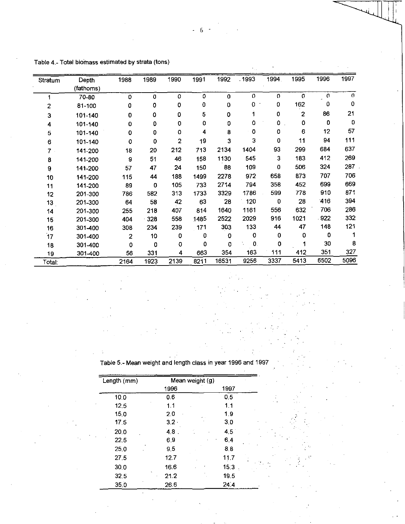| Stratum        | Depth<br>(fathoms) | 1988                    | 1989 | 1990           | 1991        | 1992        | .1993        | 1994.    | 1995         | 1996                  | 1997        |
|----------------|--------------------|-------------------------|------|----------------|-------------|-------------|--------------|----------|--------------|-----------------------|-------------|
|                | 70-80              | $\mathbf 0$             | 0    | 0              | $\mathbf 0$ | $\mathbf 0$ | $\mathbf{O}$ | $\Omega$ | o            | $\boldsymbol{\theta}$ | $\Omega$    |
| $\overline{c}$ | 81-100             | 0                       | 0    | 0              | 0           | 0           | 0            | 0        | 162          | 0                     | $\mathbf 0$ |
| 3              | 101-140            | 0                       | 0    | 0              | 5           | 0           | 1            | 0        | $\mathbf{2}$ | 86                    | 21          |
| 4              | 101-140            | 0                       | 0    | 0              | 0           | 0           | 0            | 0        | 0            | $\mathbf 0$           | 0           |
| 5              | 101-140            | $\pmb{0}$               | 0    | 0              | 4           | 8           | $\mathbf 0$  | 0        | 6            | 12                    | 57          |
| 6              | 101-140            | 0                       | 0    | $\overline{2}$ | 19          | 3           | 3            | 0        | 11           | 94                    | 111         |
| $\overline{7}$ | 141-200            | 18                      | 20   | 212            | 713         | 2134        | 1404         | 93       | 299          | 684                   | 637         |
| 8              | 141-200            | $\boldsymbol{9}$        | 51   | 46             | 158         | 1130        | 545          | 3        | 183          | 412                   | 269         |
| 9              | 141-200            | 57                      | 47   | 24             | 150         | 88          | 109          | 0        | 506          | 324                   | 287         |
| 10             | 141-200            | 115                     | 44   | 188            | 1499        | 2278        | 972          | 658      | 873          | 707                   | 706         |
| 11             | 141-200            | 89                      | 0    | 105            | 733         | 2714        | 794          | 358      | 452          | 699                   | 669         |
| 12             | 201-300            | 786                     | 582  | 313            | 1733        | 3329        | 1786         | 599      | 778          | 910                   | 871         |
| 13             | 201-300            | 64                      | 58   | 42             | 63          | 28          | 120          | 0        | 28           | 416                   | 394         |
| 14             | 201-300            | 255                     | 218  | 407            | 814         | 1640        | 1161         | 556      | 632          | 706                   | 286         |
| 15             | 201-300            | 404                     | 328  | 558            | 1485        | 2522        | 2029         | 916      | 1021         | 922                   | 332         |
| 16             | 301-400            | 308                     | 234  | 239            | 171         | 303         | 133          | 44       | 47           | 148                   | 121         |
| 17             | 301-400            | $\overline{\mathbf{2}}$ | 10   | 0              | 0           | 0           | 0            | 0        | 0            | 0                     |             |
| 18             | 301-400            | 0                       | 0    | 0              | 0           | 0           | 0.           | 0        |              | 30                    | 8           |
| 19             | 301-400            | 56                      | 331  | 4              | 663         | 354         | 163          | 111      | 412          | 351                   | 327         |
| Total:         |                    | 2164                    | 1923 | 2139           | 8211        | 16531       | 9256         | 3337     | 5413         | 6502                  | 5096        |

Table 4.- Total biomass estimated by strata (tons)

Table 5.- Mean weight and length class in year 1996 and 1997

| Length (mm)     | Mean weight (g) |      |  |  |  |  |
|-----------------|-----------------|------|--|--|--|--|
|                 | 1996            | 1997 |  |  |  |  |
| 10.0            | 06              | 0.5  |  |  |  |  |
| 12.5            | 1.1             | 1.1  |  |  |  |  |
| 15.0            | 2.0             | 1.9  |  |  |  |  |
| 17 <sub>5</sub> | $3.2 \cdot$     | 30   |  |  |  |  |
| 20.0            | $4.8$ .         | 4.5  |  |  |  |  |
| 22.5            | 69              | 64   |  |  |  |  |
| 25.0            | 9.5             | 8.8  |  |  |  |  |
| 27.5            | 12.7            | 11.7 |  |  |  |  |
| 30.0            | 16.6            | 15:3 |  |  |  |  |
| 32.5            | 21.2            | 19.5 |  |  |  |  |
| 35.0            | 26.6            | 24.4 |  |  |  |  |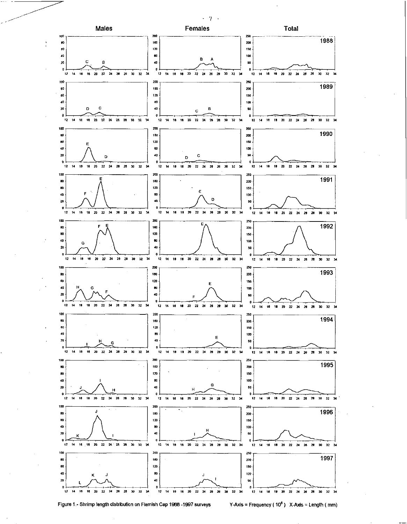